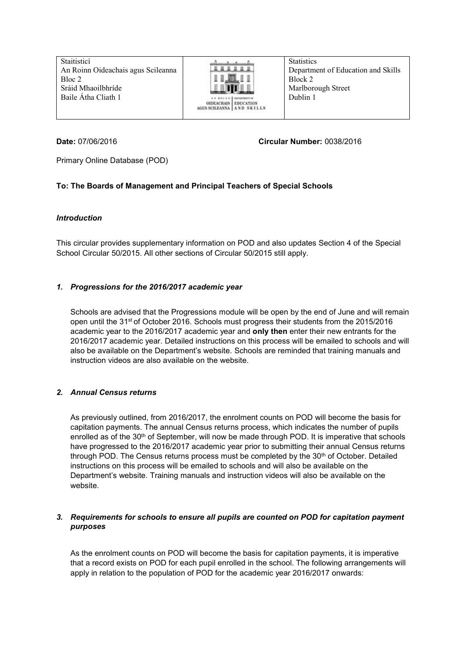Staitisticí An Roinn Oideachais agus Scileanna Bloc 2 Sráid Mhaoilbhríde Baile Átha Cliath 1



**Statistics** Department of Education and Skills Block 2 Marlborough Street Dublin 1

### **Date:** 07/06/2016 **Circular Number:** 0038/2016

Primary Online Database (POD)

# **To: The Boards of Management and Principal Teachers of Special Schools**

### *Introduction*

This circular provides supplementary information on POD and also updates Section 4 of the Special School Circular 50/2015. All other sections of Circular 50/2015 still apply.

# *1. Progressions for the 2016/2017 academic year*

Schools are advised that the Progressions module will be open by the end of June and will remain open until the 31st of October 2016. Schools must progress their students from the 2015/2016 academic year to the 2016/2017 academic year and **only then** enter their new entrants for the 2016/2017 academic year. Detailed instructions on this process will be emailed to schools and will also be available on the Department's website. Schools are reminded that training manuals and instruction videos are also available on the website.

# *2. Annual Census returns*

As previously outlined, from 2016/2017, the enrolment counts on POD will become the basis for capitation payments. The annual Census returns process, which indicates the number of pupils enrolled as of the 30<sup>th</sup> of September, will now be made through POD. It is imperative that schools have progressed to the 2016/2017 academic year prior to submitting their annual Census returns through POD. The Census returns process must be completed by the 30<sup>th</sup> of October. Detailed instructions on this process will be emailed to schools and will also be available on the Department's website. Training manuals and instruction videos will also be available on the website.

### *3. Requirements for schools to ensure all pupils are counted on POD for capitation payment purposes*

As the enrolment counts on POD will become the basis for capitation payments, it is imperative that a record exists on POD for each pupil enrolled in the school. The following arrangements will apply in relation to the population of POD for the academic year 2016/2017 onwards: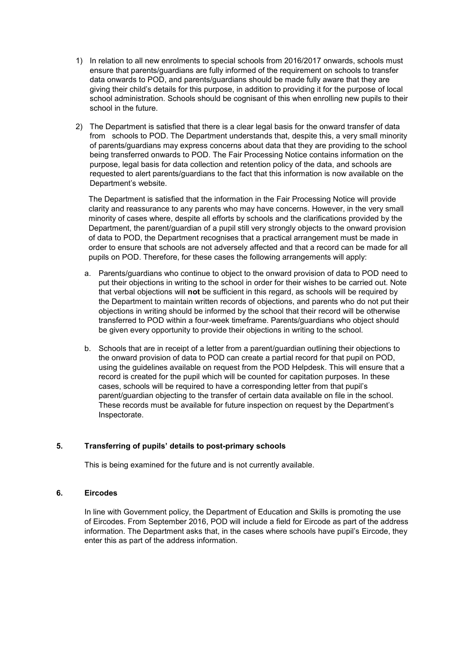- 1) In relation to all new enrolments to special schools from 2016/2017 onwards, schools must ensure that parents/guardians are fully informed of the requirement on schools to transfer data onwards to POD, and parents/guardians should be made fully aware that they are giving their child's details for this purpose, in addition to providing it for the purpose of local school administration. Schools should be cognisant of this when enrolling new pupils to their school in the future.
- 2) The Department is satisfied that there is a clear legal basis for the onward transfer of data from schools to POD. The Department understands that, despite this, a very small minority of parents/guardians may express concerns about data that they are providing to the school being transferred onwards to POD. The Fair Processing Notice contains information on the purpose, legal basis for data collection and retention policy of the data, and schools are requested to alert parents/guardians to the fact that this information is now available on the Department's website.

The Department is satisfied that the information in the Fair Processing Notice will provide clarity and reassurance to any parents who may have concerns. However, in the very small minority of cases where, despite all efforts by schools and the clarifications provided by the Department, the parent/guardian of a pupil still very strongly objects to the onward provision of data to POD, the Department recognises that a practical arrangement must be made in order to ensure that schools are not adversely affected and that a record can be made for all pupils on POD. Therefore, for these cases the following arrangements will apply:

- a. Parents/guardians who continue to object to the onward provision of data to POD need to put their objections in writing to the school in order for their wishes to be carried out. Note that verbal objections will **not** be sufficient in this regard, as schools will be required by the Department to maintain written records of objections, and parents who do not put their objections in writing should be informed by the school that their record will be otherwise transferred to POD within a four-week timeframe. Parents/guardians who object should be given every opportunity to provide their objections in writing to the school.
- b. Schools that are in receipt of a letter from a parent/guardian outlining their objections to the onward provision of data to POD can create a partial record for that pupil on POD, using the guidelines available on request from the POD Helpdesk. This will ensure that a record is created for the pupil which will be counted for capitation purposes. In these cases, schools will be required to have a corresponding letter from that pupil's parent/guardian objecting to the transfer of certain data available on file in the school. These records must be available for future inspection on request by the Department's Inspectorate.

### **5. Transferring of pupils' details to post-primary schools**

This is being examined for the future and is not currently available.

#### **6. Eircodes**

In line with Government policy, the Department of Education and Skills is promoting the use of Eircodes. From September 2016, POD will include a field for Eircode as part of the address information. The Department asks that, in the cases where schools have pupil's Eircode, they enter this as part of the address information.